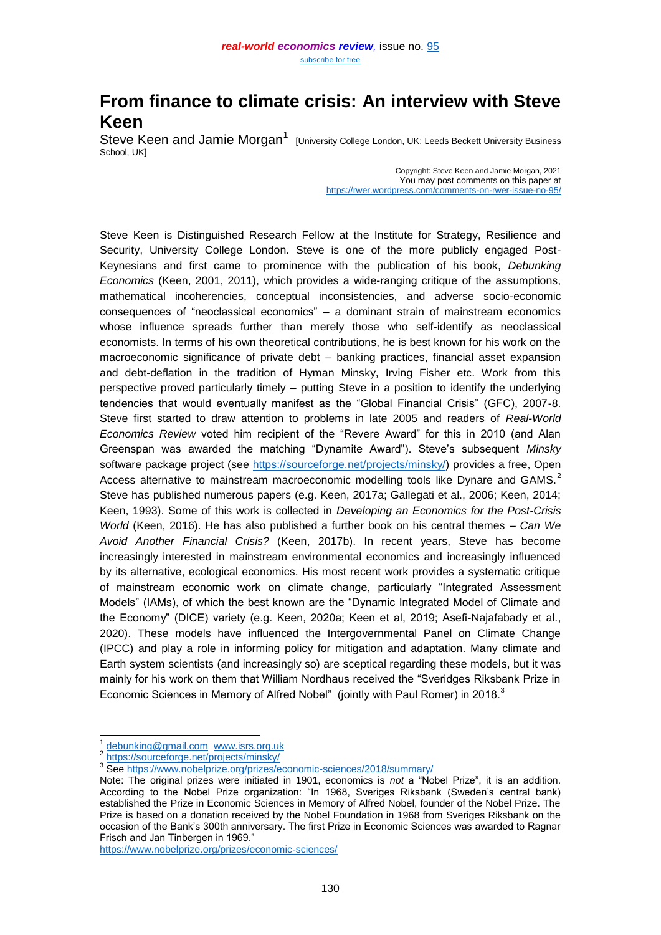# **From finance to climate crisis: An interview with Steve Keen**

Steve Keen and Jamie Morgan<sup>1</sup> [University College London, UK; Leeds Beckett University Business School, UK]

> Copyright: Steve Keen and Jamie Morgan, 2021 You may post comments on this paper at <https://rwer.wordpress.com/comments-on-rwer-issue-no-95/>

Steve Keen is Distinguished Research Fellow at the Institute for Strategy, Resilience and Security, University College London. Steve is one of the more publicly engaged Post-Keynesians and first came to prominence with the publication of his book, *Debunking Economics* (Keen, 2001, 2011), which provides a wide-ranging critique of the assumptions, mathematical incoherencies, conceptual inconsistencies, and adverse socio-economic consequences of "neoclassical economics" – a dominant strain of mainstream economics whose influence spreads further than merely those who self-identify as neoclassical economists. In terms of his own theoretical contributions, he is best known for his work on the macroeconomic significance of private debt – banking practices, financial asset expansion and debt-deflation in the tradition of Hyman Minsky, Irving Fisher etc. Work from this perspective proved particularly timely – putting Steve in a position to identify the underlying tendencies that would eventually manifest as the "Global Financial Crisis" (GFC), 2007-8. Steve first started to draw attention to problems in late 2005 and readers of *Real-World Economics Review* voted him recipient of the "Revere Award" for this in 2010 (and Alan Greenspan was awarded the matching "Dynamite Award"). Steve's subsequent *Minsky* software package project (see [https://sourceforge.net/projects/minsky/\)](https://sourceforge.net/projects/minsky/) provides a free, Open Access alternative to mainstream macroeconomic modelling tools like Dynare and GAMS.<sup>2</sup> Steve has published numerous papers (e.g. Keen, 2017a; Gallegati et al., 2006; Keen, 2014; Keen, 1993). Some of this work is collected in *Developing an Economics for the Post-Crisis World* (Keen, 2016). He has also published a further book on his central themes – *Can We Avoid Another Financial Crisis?* (Keen, 2017b). In recent years, Steve has become increasingly interested in mainstream environmental economics and increasingly influenced by its alternative, ecological economics. His most recent work provides a systematic critique of mainstream economic work on climate change, particularly "Integrated Assessment Models" (IAMs), of which the best known are the "Dynamic Integrated Model of Climate and the Economy" (DICE) variety (e.g. Keen, 2020a; Keen et al, 2019; Asefi-Najafabady et al., 2020). These models have influenced the Intergovernmental Panel on Climate Change (IPCC) and play a role in informing policy for mitigation and adaptation. Many climate and Earth system scientists (and increasingly so) are sceptical regarding these models, but it was mainly for his work on them that William Nordhaus received the "Sveridges Riksbank Prize in Economic Sciences in Memory of Alfred Nobel" (jointly with Paul Romer) in 2018. $^3$ 

 $\overline{\phantom{a}}$ 

<https://www.nobelprize.org/prizes/economic-sciences/>

<sup>1</sup> [debunking@gmail.com](mailto:debunking@gmail.com) [www.isrs.org.uk](http://www.isrs.org.uk/)

<sup>2</sup> <https://sourceforge.net/projects/minsky/>

<sup>&</sup>lt;sup>3</sup> See<https://www.nobelprize.org/prizes/economic-sciences/2018/summary/>

Note: The original prizes were initiated in 1901, economics is *not* a "Nobel Prize", it is an addition. According to the Nobel Prize organization: "In 1968, Sveriges Riksbank (Sweden's central bank) established the Prize in Economic Sciences in Memory of Alfred Nobel, founder of the Nobel Prize. The Prize is based on a donation received by the Nobel Foundation in 1968 from Sveriges Riksbank on the occasion of the Bank's 300th anniversary. The first Prize in Economic Sciences was awarded to Ragnar Frisch and Jan Tinbergen in 1969."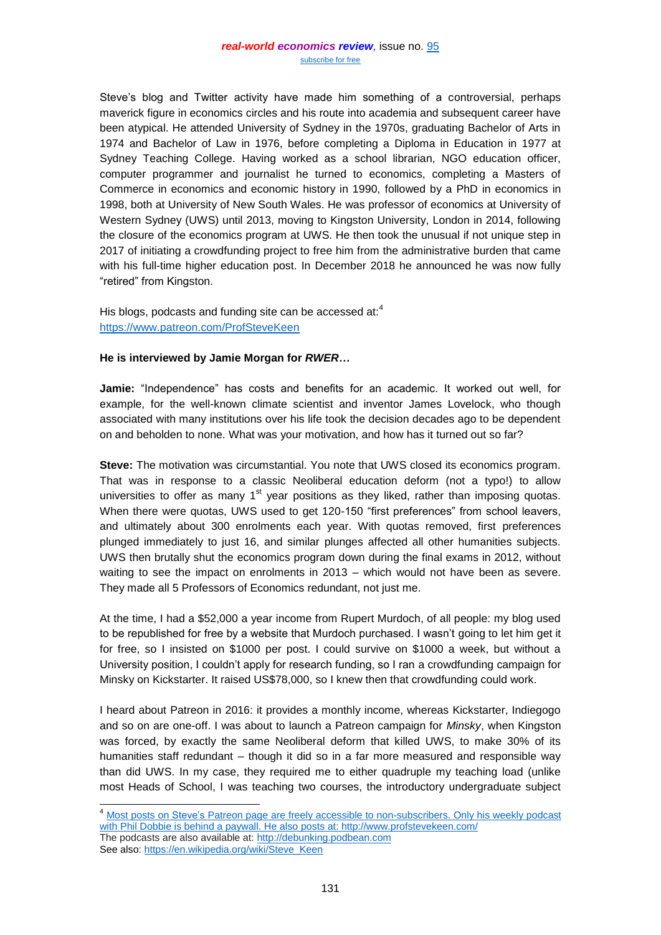Steve's blog and Twitter activity have made him something of a controversial, perhaps maverick figure in economics circles and his route into academia and subsequent career have been atypical. He attended University of Sydney in the 1970s, graduating Bachelor of Arts in 1974 and Bachelor of Law in 1976, before completing a Diploma in Education in 1977 at Sydney Teaching College. Having worked as a school librarian, NGO education officer, computer programmer and journalist he turned to economics, completing a Masters of Commerce in economics and economic history in 1990, followed by a PhD in economics in 1998, both at University of New South Wales. He was professor of economics at University of Western Sydney (UWS) until 2013, moving to Kingston University, London in 2014, following the closure of the economics program at UWS. He then took the unusual if not unique step in 2017 of initiating a crowdfunding project to free him from the administrative burden that came with his full-time higher education post. In December 2018 he announced he was now fully "retired" from Kingston.

His blogs, podcasts and funding site can be accessed at:<sup>4</sup> <https://www.patreon.com/ProfSteveKeen>

# **He is interviewed by Jamie Morgan for** *RWER***…**

 $\overline{\phantom{a}}$ 

**Jamie:** "Independence" has costs and benefits for an academic. It worked out well, for example, for the well-known climate scientist and inventor James Lovelock, who though associated with many institutions over his life took the decision decades ago to be dependent on and beholden to none. What was your motivation, and how has it turned out so far?

**Steve:** The motivation was circumstantial. You note that UWS closed its economics program. That was in response to a classic Neoliberal education deform (not a typo!) to allow universities to offer as many  $1<sup>st</sup>$  year positions as they liked, rather than imposing quotas. When there were quotas, UWS used to get 120-150 "first preferences" from school leavers, and ultimately about 300 enrolments each year. With quotas removed, first preferences plunged immediately to just 16, and similar plunges affected all other humanities subjects. UWS then brutally shut the economics program down during the final exams in 2012, without waiting to see the impact on enrolments in 2013 – which would not have been as severe. They made all 5 Professors of Economics redundant, not just me.

At the time, I had a \$52,000 a year income from Rupert Murdoch, of all people: my blog used to be republished for free by a website that Murdoch purchased. I wasn't going to let him get it for free, so I insisted on \$1000 per post. I could survive on \$1000 a week, but without a University position, I couldn't apply for research funding, so I ran a crowdfunding campaign for Minsky on Kickstarter. It raised US\$78,000, so I knew then that crowdfunding could work.

I heard about Patreon in 2016: it provides a monthly income, whereas Kickstarter, Indiegogo and so on are one-off. I was about to launch a Patreon campaign for *Minsky*, when Kingston was forced, by exactly the same Neoliberal deform that killed UWS, to make 30% of its humanities staff redundant – though it did so in a far more measured and responsible way than did UWS. In my case, they required me to either quadruple my teaching load (unlike most Heads of School, I was teaching two courses, the introductory undergraduate subject

<sup>&</sup>lt;sup>4</sup> Most posts on Steve's Patreon page are freely accessible to non-subscribers. Only his weekly podcast with Phil Dobbie is behind a paywall. He also posts at: <http://www.profstevekeen.com/> The podcasts are also available at: [http://debunking.podbean.com](http://debunking.podbean.com/) See also: [https://en.wikipedia.org/wiki/Steve\\_Keen](https://en.wikipedia.org/wiki/Steve_Keen)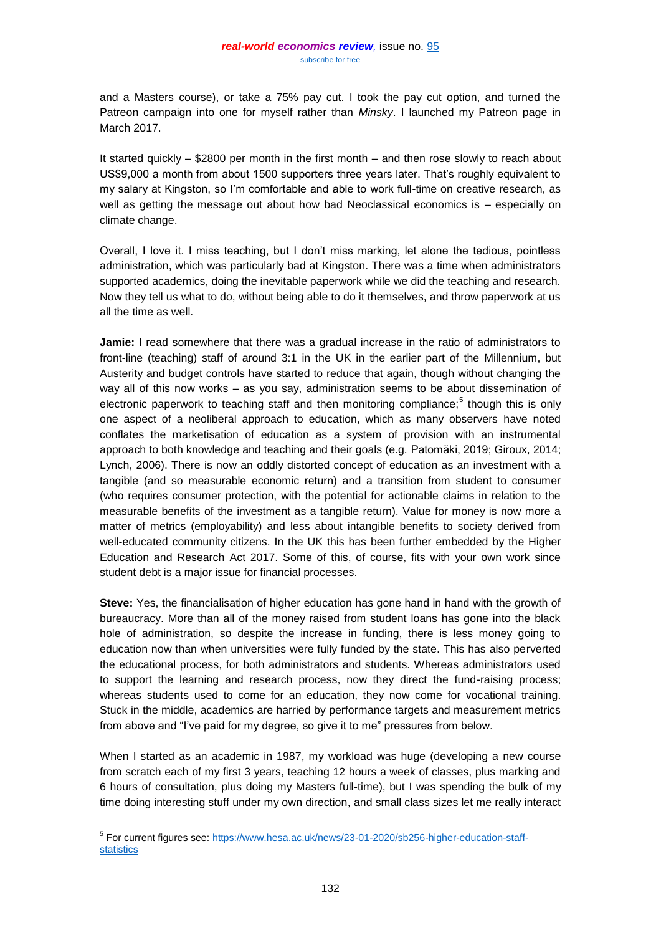and a Masters course), or take a 75% pay cut. I took the pay cut option, and turned the Patreon campaign into one for myself rather than *Minsky*. I launched my Patreon page in March 2017.

It started quickly – \$2800 per month in the first month – and then rose slowly to reach about US\$9,000 a month from about 1500 supporters three years later. That's roughly equivalent to my salary at Kingston, so I'm comfortable and able to work full-time on creative research, as well as getting the message out about how bad Neoclassical economics is – especially on climate change.

Overall, I love it. I miss teaching, but I don't miss marking, let alone the tedious, pointless administration, which was particularly bad at Kingston. There was a time when administrators supported academics, doing the inevitable paperwork while we did the teaching and research. Now they tell us what to do, without being able to do it themselves, and throw paperwork at us all the time as well.

**Jamie:** I read somewhere that there was a gradual increase in the ratio of administrators to front-line (teaching) staff of around 3:1 in the UK in the earlier part of the Millennium, but Austerity and budget controls have started to reduce that again, though without changing the way all of this now works – as you say, administration seems to be about dissemination of electronic paperwork to teaching staff and then monitoring compliance;<sup>5</sup> though this is only one aspect of a neoliberal approach to education, which as many observers have noted conflates the marketisation of education as a system of provision with an instrumental approach to both knowledge and teaching and their goals (e.g. Patomäki, 2019; Giroux, 2014; Lynch, 2006). There is now an oddly distorted concept of education as an investment with a tangible (and so measurable economic return) and a transition from student to consumer (who requires consumer protection, with the potential for actionable claims in relation to the measurable benefits of the investment as a tangible return). Value for money is now more a matter of metrics (employability) and less about intangible benefits to society derived from well-educated community citizens. In the UK this has been further embedded by the Higher Education and Research Act 2017. Some of this, of course, fits with your own work since student debt is a major issue for financial processes.

**Steve:** Yes, the financialisation of higher education has gone hand in hand with the growth of bureaucracy. More than all of the money raised from student loans has gone into the black hole of administration, so despite the increase in funding, there is less money going to education now than when universities were fully funded by the state. This has also perverted the educational process, for both administrators and students. Whereas administrators used to support the learning and research process, now they direct the fund-raising process; whereas students used to come for an education, they now come for vocational training. Stuck in the middle, academics are harried by performance targets and measurement metrics from above and "I've paid for my degree, so give it to me" pressures from below.

When I started as an academic in 1987, my workload was huge (developing a new course from scratch each of my first 3 years, teaching 12 hours a week of classes, plus marking and 6 hours of consultation, plus doing my Masters full-time), but I was spending the bulk of my time doing interesting stuff under my own direction, and small class sizes let me really interact

 5 For current figures see: [https://www.hesa.ac.uk/news/23-01-2020/sb256-higher-education-staff](https://www.hesa.ac.uk/news/23-01-2020/sb256-higher-education-staff-statistics)[statistics](https://www.hesa.ac.uk/news/23-01-2020/sb256-higher-education-staff-statistics)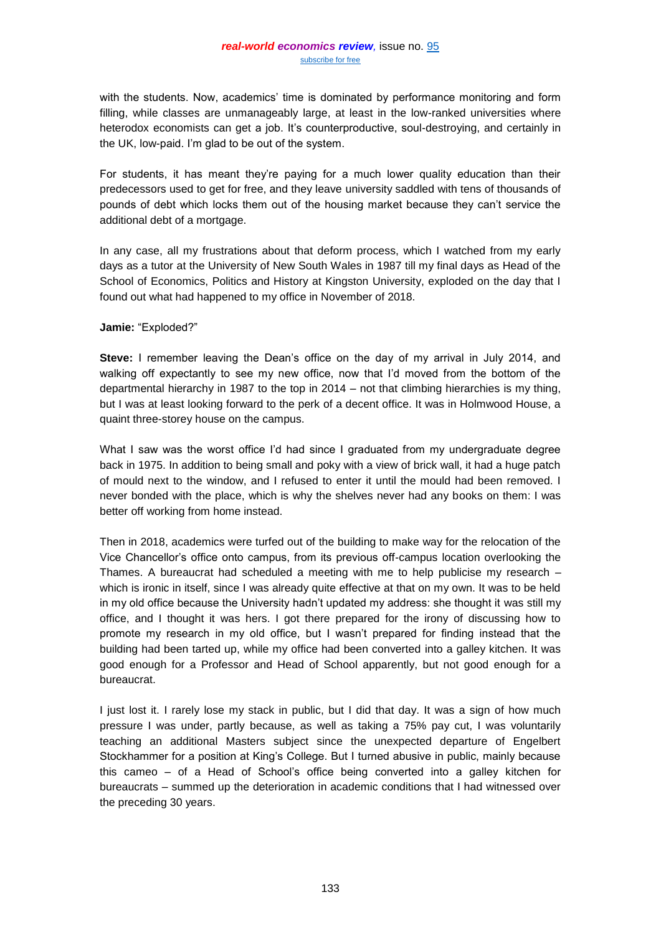with the students. Now, academics' time is dominated by performance monitoring and form filling, while classes are unmanageably large, at least in the low-ranked universities where heterodox economists can get a job. It's counterproductive, soul-destroying, and certainly in the UK, low-paid. I'm glad to be out of the system.

For students, it has meant they're paying for a much lower quality education than their predecessors used to get for free, and they leave university saddled with tens of thousands of pounds of debt which locks them out of the housing market because they can't service the additional debt of a mortgage.

In any case, all my frustrations about that deform process, which I watched from my early days as a tutor at the University of New South Wales in 1987 till my final days as Head of the School of Economics, Politics and History at Kingston University, exploded on the day that I found out what had happened to my office in November of 2018.

# **Jamie:** "Exploded?"

**Steve:** I remember leaving the Dean's office on the day of my arrival in July 2014, and walking off expectantly to see my new office, now that I'd moved from the bottom of the departmental hierarchy in 1987 to the top in 2014 – not that climbing hierarchies is my thing, but I was at least looking forward to the perk of a decent office. It was in Holmwood House, a quaint three-storey house on the campus.

What I saw was the worst office I'd had since I graduated from my undergraduate degree back in 1975. In addition to being small and poky with a view of brick wall, it had a huge patch of mould next to the window, and I refused to enter it until the mould had been removed. I never bonded with the place, which is why the shelves never had any books on them: I was better off working from home instead.

Then in 2018, academics were turfed out of the building to make way for the relocation of the Vice Chancellor's office onto campus, from its previous off-campus location overlooking the Thames. A bureaucrat had scheduled a meeting with me to help publicise my research – which is ironic in itself, since I was already quite effective at that on my own. It was to be held in my old office because the University hadn't updated my address: she thought it was still my office, and I thought it was hers. I got there prepared for the irony of discussing how to promote my research in my old office, but I wasn't prepared for finding instead that the building had been tarted up, while my office had been converted into a galley kitchen. It was good enough for a Professor and Head of School apparently, but not good enough for a bureaucrat.

I just lost it. I rarely lose my stack in public, but I did that day. It was a sign of how much pressure I was under, partly because, as well as taking a 75% pay cut, I was voluntarily teaching an additional Masters subject since the unexpected departure of Engelbert Stockhammer for a position at King's College. But I turned abusive in public, mainly because this cameo – of a Head of School's office being converted into a galley kitchen for bureaucrats – summed up the deterioration in academic conditions that I had witnessed over the preceding 30 years.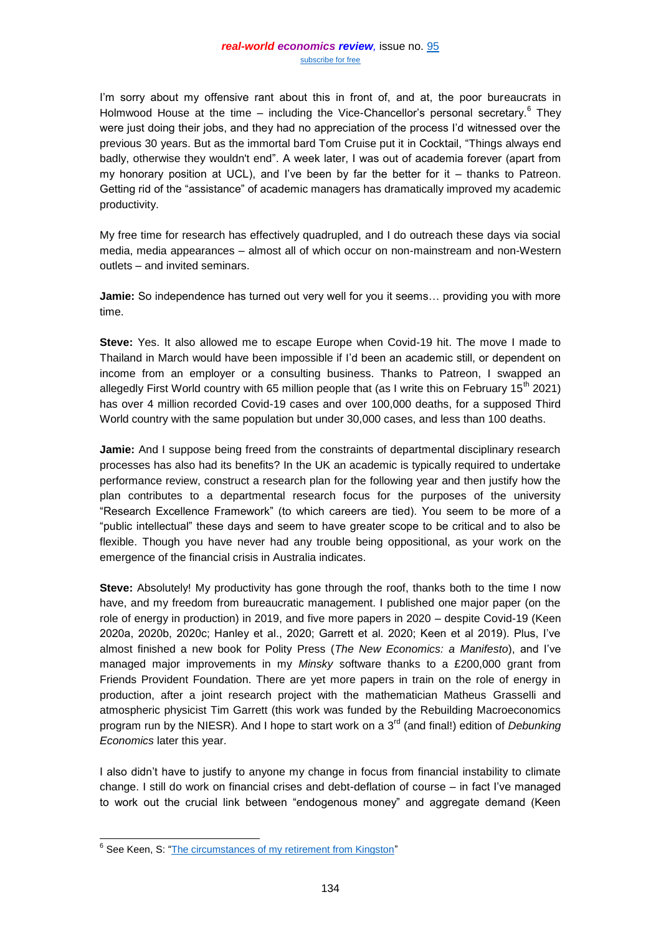I'm sorry about my offensive rant about this in front of, and at, the poor bureaucrats in Holmwood House at the time – including the Vice-Chancellor's personal secretary.<sup>6</sup> They were just doing their jobs, and they had no appreciation of the process I'd witnessed over the previous 30 years. But as the immortal bard Tom Cruise put it in Cocktail, "Things always end badly, otherwise they wouldn't end". A week later, I was out of academia forever (apart from my honorary position at UCL), and I've been by far the better for it – thanks to Patreon. Getting rid of the "assistance" of academic managers has dramatically improved my academic productivity.

My free time for research has effectively quadrupled, and I do outreach these days via social media, media appearances – almost all of which occur on non-mainstream and non-Western outlets – and invited seminars.

**Jamie:** So independence has turned out very well for you it seems… providing you with more time.

**Steve:** Yes. It also allowed me to escape Europe when Covid-19 hit. The move I made to Thailand in March would have been impossible if I'd been an academic still, or dependent on income from an employer or a consulting business. Thanks to Patreon, I swapped an allegedly First World country with 65 million people that (as I write this on February 15<sup>th</sup> 2021) has over 4 million recorded Covid-19 cases and over 100,000 deaths, for a supposed Third World country with the same population but under 30,000 cases, and less than 100 deaths.

**Jamie:** And I suppose being freed from the constraints of departmental disciplinary research processes has also had its benefits? In the UK an academic is typically required to undertake performance review, construct a research plan for the following year and then justify how the plan contributes to a departmental research focus for the purposes of the university "Research Excellence Framework" (to which careers are tied). You seem to be more of a "public intellectual" these days and seem to have greater scope to be critical and to also be flexible. Though you have never had any trouble being oppositional, as your work on the emergence of the financial crisis in Australia indicates.

**Steve:** Absolutely! My productivity has gone through the roof, thanks both to the time I now have, and my freedom from bureaucratic management. I published one major paper (on the role of energy in production) in 2019, and five more papers in 2020 – despite Covid-19 (Keen 2020a, 2020b, 2020c; Hanley et al., 2020; Garrett et al. 2020; Keen et al 2019). Plus, I've almost finished a new book for Polity Press (*The New Economics: a Manifesto*), and I've managed major improvements in my *Minsky* software thanks to a £200,000 grant from Friends Provident Foundation. There are yet more papers in train on the role of energy in production, after a joint research project with the mathematician Matheus Grasselli and atmospheric physicist Tim Garrett (this work was funded by the Rebuilding Macroeconomics program run by the NIESR). And I hope to start work on a 3<sup>rd</sup> (and final!) edition of *Debunking Economics* later this year.

I also didn't have to justify to anyone my change in focus from financial instability to climate change. I still do work on financial crises and debt-deflation of course – in fact I've managed to work out the crucial link between "endogenous money" and aggregate demand (Keen

<sup>&</sup>lt;sup>6</sup> See Keen, S: ["The circumstances of my retirement from Kingston"](https://www.patreon.com/posts/circumstances-of-23364687)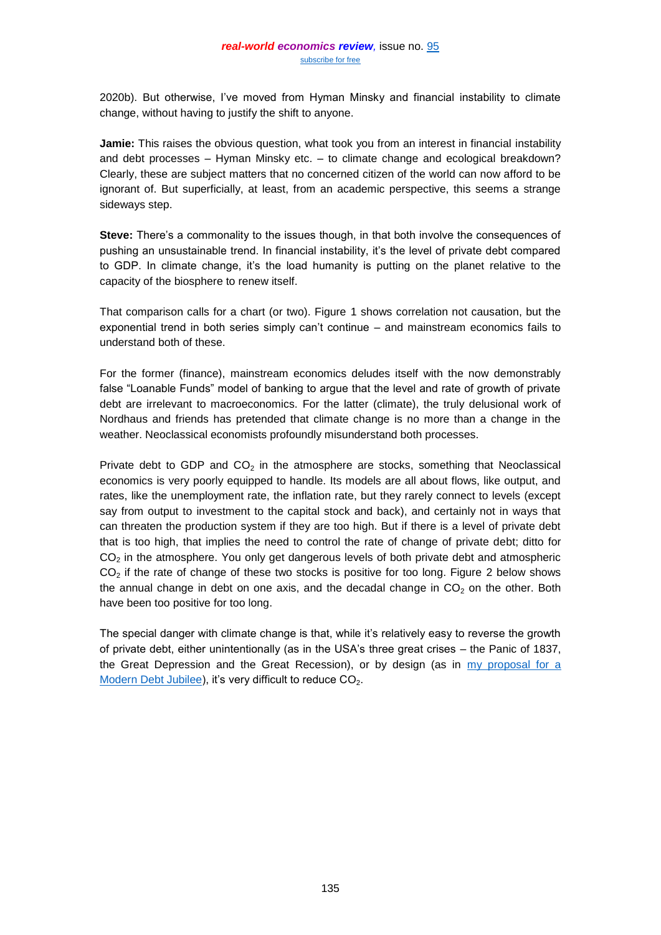2020b). But otherwise, I've moved from Hyman Minsky and financial instability to climate change, without having to justify the shift to anyone.

**Jamie:** This raises the obvious question, what took you from an interest in financial instability and debt processes – Hyman Minsky etc. – to climate change and ecological breakdown? Clearly, these are subject matters that no concerned citizen of the world can now afford to be ignorant of. But superficially, at least, from an academic perspective, this seems a strange sideways step.

**Steve:** There's a commonality to the issues though, in that both involve the consequences of pushing an unsustainable trend. In financial instability, it's the level of private debt compared to GDP. In climate change, it's the load humanity is putting on the planet relative to the capacity of the biosphere to renew itself.

That comparison calls for a chart (or two). Figure 1 shows correlation not causation, but the exponential trend in both series simply can't continue – and mainstream economics fails to understand both of these.

For the former (finance), mainstream economics deludes itself with the now demonstrably false "Loanable Funds" model of banking to argue that the level and rate of growth of private debt are irrelevant to macroeconomics. For the latter (climate), the truly delusional work of Nordhaus and friends has pretended that climate change is no more than a change in the weather. Neoclassical economists profoundly misunderstand both processes.

Private debt to GDP and  $CO<sub>2</sub>$  in the atmosphere are stocks, something that Neoclassical economics is very poorly equipped to handle. Its models are all about flows, like output, and rates, like the unemployment rate, the inflation rate, but they rarely connect to levels (except say from output to investment to the capital stock and back), and certainly not in ways that can threaten the production system if they are too high. But if there is a level of private debt that is too high, that implies the need to control the rate of change of private debt; ditto for  $CO<sub>2</sub>$  in the atmosphere. You only get dangerous levels of both private debt and atmospheric  $CO<sub>2</sub>$  if the rate of change of these two stocks is positive for too long. Figure 2 below shows the annual change in debt on one axis, and the decadal change in  $CO<sub>2</sub>$  on the other. Both have been too positive for too long.

The special danger with climate change is that, while it's relatively easy to reverse the growth of private debt, either unintentionally (as in the USA's three great crises – the Panic of 1837, the Great Depression and the Great Recession), or by design (as in [my proposal for a](https://braveneweurope.com/rnz-steve-keen-the-case-for-a-modern-debt-jubilee)  [Modern Debt Jubilee\)](https://braveneweurope.com/rnz-steve-keen-the-case-for-a-modern-debt-jubilee), it's very difficult to reduce CO<sub>2</sub>.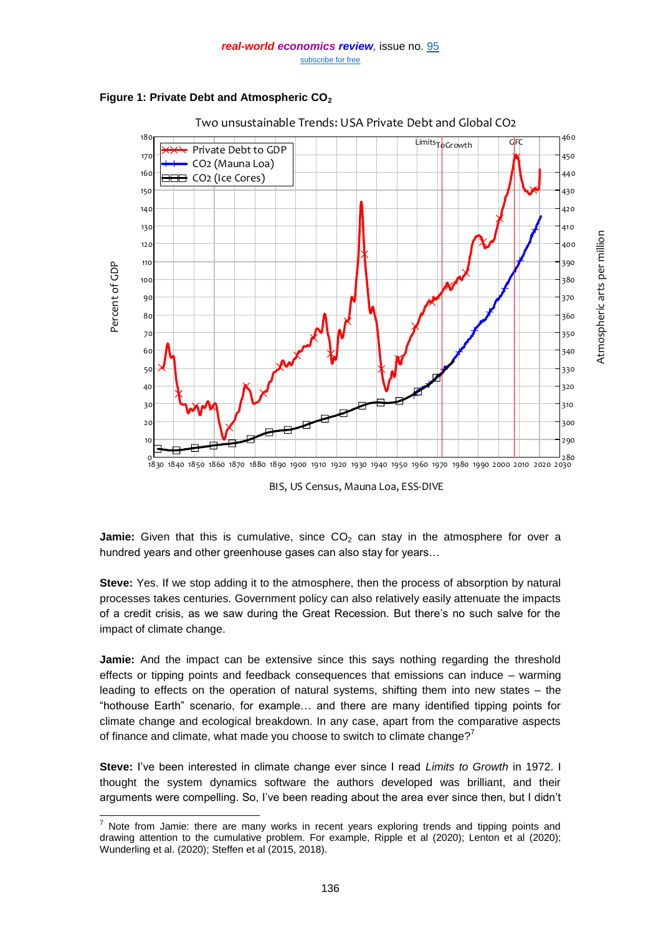



**Jamie:** Given that this is cumulative, since  $CO<sub>2</sub>$  can stay in the atmosphere for over a hundred years and other greenhouse gases can also stay for years…

**Steve:** Yes. If we stop adding it to the atmosphere, then the process of absorption by natural processes takes centuries. Government policy can also relatively easily attenuate the impacts of a credit crisis, as we saw during the Great Recession. But there's no such salve for the impact of climate change.

**Jamie:** And the impact can be extensive since this says nothing regarding the threshold effects or tipping points and feedback consequences that emissions can induce – warming leading to effects on the operation of natural systems, shifting them into new states – the "hothouse Earth" scenario, for example… and there are many identified tipping points for climate change and ecological breakdown. In any case, apart from the comparative aspects of finance and climate, what made you choose to switch to climate change?<sup>7</sup>

**Steve:** I've been interested in climate change ever since I read *Limits to Growth* in 1972. I thought the system dynamics software the authors developed was brilliant, and their arguments were compelling. So, I've been reading about the area ever since then, but I didn't

l  $<sup>7</sup>$  Note from Jamie: there are many works in recent years exploring trends and tipping points and</sup> drawing attention to the cumulative problem. For example, Ripple et al (2020); Lenton et al (2020); Wunderling et al. (2020); Steffen et al (2015, 2018).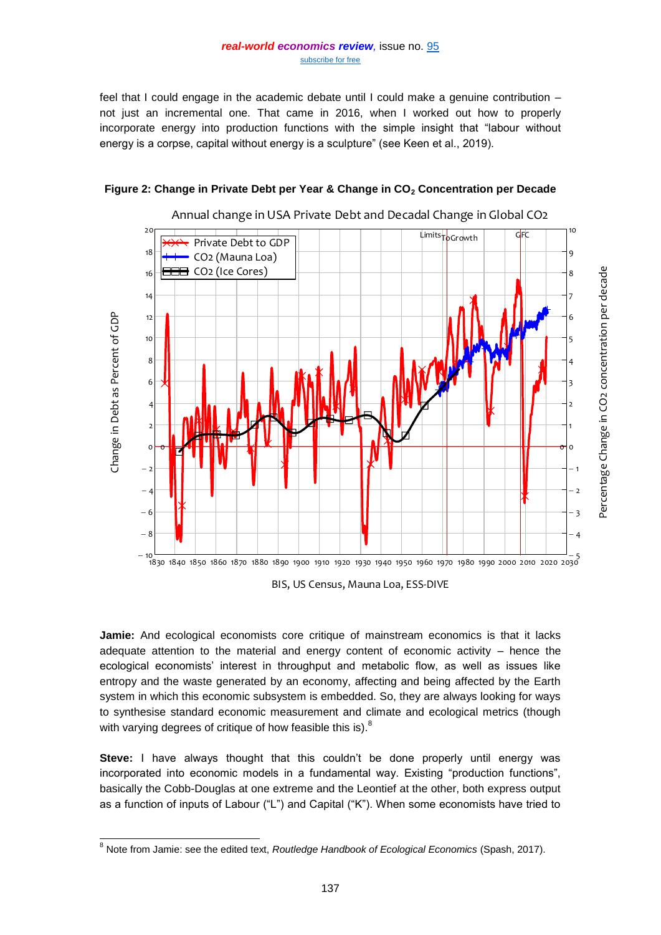#### *real-world economics review,* issue no. [95](http://www.paecon.net/PAEReview/issue95/whole95.pdf) [subscribe for free](http://www.feedblitz.com/f/f.fbz?Sub=332386)

feel that I could engage in the academic debate until I could make a genuine contribution – not just an incremental one. That came in 2016, when I worked out how to properly incorporate energy into production functions with the simple insight that "labour without energy is a corpse, capital without energy is a sculpture" (see Keen et al., 2019).



# **Figure 2: Change in Private Debt per Year & Change in CO<sup>2</sup> Concentration per Decade**

Annual change in USA Private Debt and Decadal Change in Global CO2

**Jamie:** And ecological economists core critique of mainstream economics is that it lacks adequate attention to the material and energy content of economic activity – hence the ecological economists' interest in throughput and metabolic flow, as well as issues like entropy and the waste generated by an economy, affecting and being affected by the Earth system in which this economic subsystem is embedded. So, they are always looking for ways to synthesise standard economic measurement and climate and ecological metrics (though with varying degrees of critique of how feasible this is). $^8$ 

**Steve:** I have always thought that this couldn't be done properly until energy was incorporated into economic models in a fundamental way. Existing "production functions", basically the Cobb-Douglas at one extreme and the Leontief at the other, both express output as a function of inputs of Labour ("L") and Capital ("K"). When some economists have tried to

l <sup>8</sup> Note from Jamie: see the edited text, *Routledge Handbook of Ecological Economics* (Spash, 2017).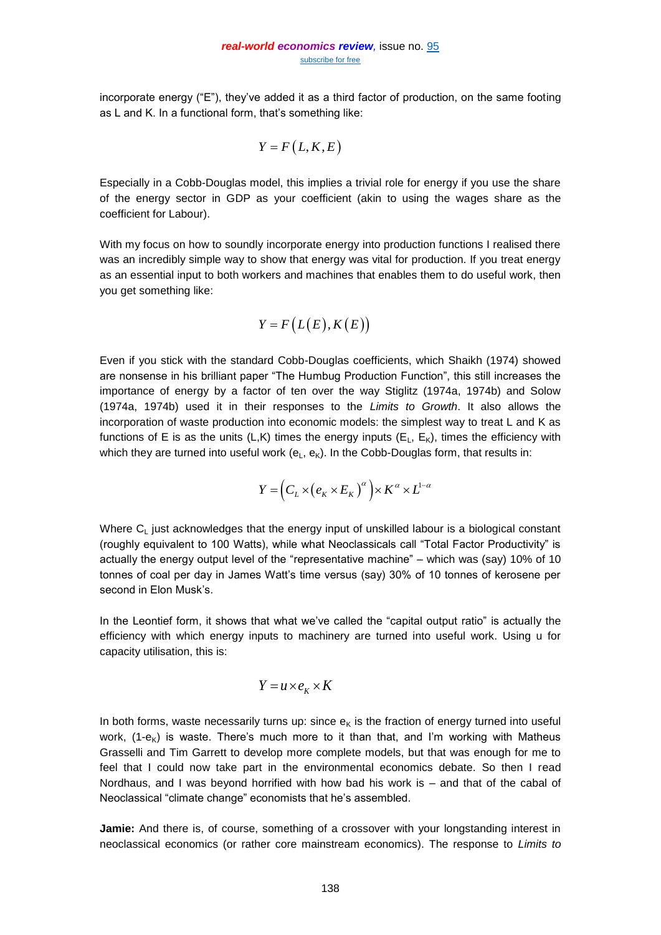incorporate energy ("E"), they've added it as a third factor of production, on the same footing as L and K. In a functional form, that's something like:

$$
Y = F\left(L, K, E\right)
$$

Especially in a Cobb-Douglas model, this implies a trivial role for energy if you use the share of the energy sector in GDP as your coefficient (akin to using the wages share as the coefficient for Labour).

With my focus on how to soundly incorporate energy into production functions I realised there was an incredibly simple way to show that energy was vital for production. If you treat energy as an essential input to both workers and machines that enables them to do useful work, then you get something like:

$$
Y = F\big(L(E), K(E)\big)
$$

Even if you stick with the standard Cobb-Douglas coefficients, which Shaikh (1974) showed are nonsense in his brilliant paper "The Humbug Production Function", this still increases the importance of energy by a factor of ten over the way Stiglitz (1974a, 1974b) and Solow (1974a, 1974b) used it in their responses to the *Limits to Growth*. It also allows the incorporation of waste production into economic models: the simplest way to treat L and K as functions of E is as the units (L,K) times the energy inputs ( $E_L$ ,  $E_K$ ), times the efficiency with which they are turned into useful work  $(e<sub>L</sub>, e<sub>K</sub>)$ . In the Cobb-Douglas form, that results in:

$$
Y = \left(C_L \times \left(e_K \times E_K\right)^{\alpha}\right) \times K^{\alpha} \times L^{1-\alpha}
$$

Where  $C<sub>1</sub>$  just acknowledges that the energy input of unskilled labour is a biological constant (roughly equivalent to 100 Watts), while what Neoclassicals call "Total Factor Productivity" is actually the energy output level of the "representative machine" – which was (say) 10% of 10 tonnes of coal per day in James Watt's time versus (say) 30% of 10 tonnes of kerosene per second in Elon Musk's.

In the Leontief form, it shows that what we've called the "capital output ratio" is actually the efficiency with which energy inputs to machinery are turned into useful work. Using u for capacity utilisation, this is:

$$
Y = u \times e_K \times K
$$

In both forms, waste necessarily turns up: since  $e<sub>K</sub>$  is the fraction of energy turned into useful work,  $(1-e_K)$  is waste. There's much more to it than that, and I'm working with Matheus Grasselli and Tim Garrett to develop more complete models, but that was enough for me to feel that I could now take part in the environmental economics debate. So then I read Nordhaus, and I was beyond horrified with how bad his work is – and that of the cabal of Neoclassical "climate change" economists that he's assembled.

**Jamie:** And there is, of course, something of a crossover with your longstanding interest in neoclassical economics (or rather core mainstream economics). The response to *Limits to*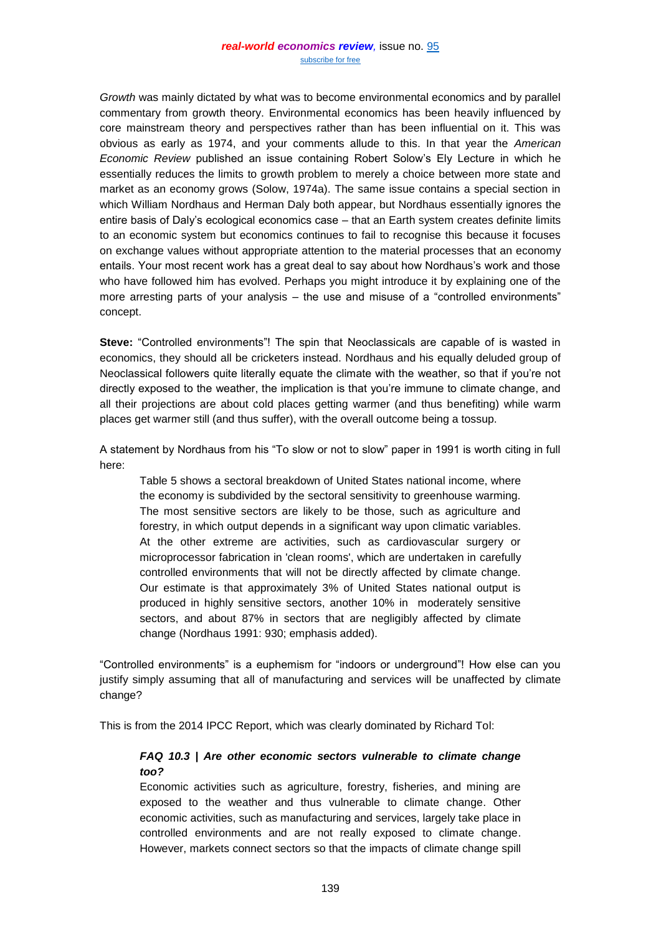*Growth* was mainly dictated by what was to become environmental economics and by parallel commentary from growth theory. Environmental economics has been heavily influenced by core mainstream theory and perspectives rather than has been influential on it. This was obvious as early as 1974, and your comments allude to this. In that year the *American Economic Review* published an issue containing Robert Solow's Ely Lecture in which he essentially reduces the limits to growth problem to merely a choice between more state and market as an economy grows (Solow, 1974a). The same issue contains a special section in which William Nordhaus and Herman Daly both appear, but Nordhaus essentially ignores the entire basis of Daly's ecological economics case – that an Earth system creates definite limits to an economic system but economics continues to fail to recognise this because it focuses on exchange values without appropriate attention to the material processes that an economy entails. Your most recent work has a great deal to say about how Nordhaus's work and those who have followed him has evolved. Perhaps you might introduce it by explaining one of the more arresting parts of your analysis – the use and misuse of a "controlled environments" concept.

**Steve:** "Controlled environments"! The spin that Neoclassicals are capable of is wasted in economics, they should all be cricketers instead. Nordhaus and his equally deluded group of Neoclassical followers quite literally equate the climate with the weather, so that if you're not directly exposed to the weather, the implication is that you're immune to climate change, and all their projections are about cold places getting warmer (and thus benefiting) while warm places get warmer still (and thus suffer), with the overall outcome being a tossup.

A statement by Nordhaus from his "To slow or not to slow" paper in 1991 is worth citing in full here:

Table 5 shows a sectoral breakdown of United States national income, where the economy is subdivided by the sectoral sensitivity to greenhouse warming. The most sensitive sectors are likely to be those, such as agriculture and forestry, in which output depends in a significant way upon climatic variables. At the other extreme are activities, such as cardiovascular surgery or microprocessor fabrication in 'clean rooms', which are undertaken in carefully controlled environments that will not be directly affected by climate change. Our estimate is that approximately 3% of United States national output is produced in highly sensitive sectors, another 10% in moderately sensitive sectors, and about 87% in sectors that are negligibly affected by climate change (Nordhaus 1991: 930; emphasis added).

"Controlled environments" is a euphemism for "indoors or underground"! How else can you justify simply assuming that all of manufacturing and services will be unaffected by climate change?

This is from the 2014 IPCC Report, which was clearly dominated by Richard Tol:

# *FAQ 10.3 | Are other economic sectors vulnerable to climate change too?*

Economic activities such as agriculture, forestry, fisheries, and mining are exposed to the weather and thus vulnerable to climate change. Other economic activities, such as manufacturing and services, largely take place in controlled environments and are not really exposed to climate change. However, markets connect sectors so that the impacts of climate change spill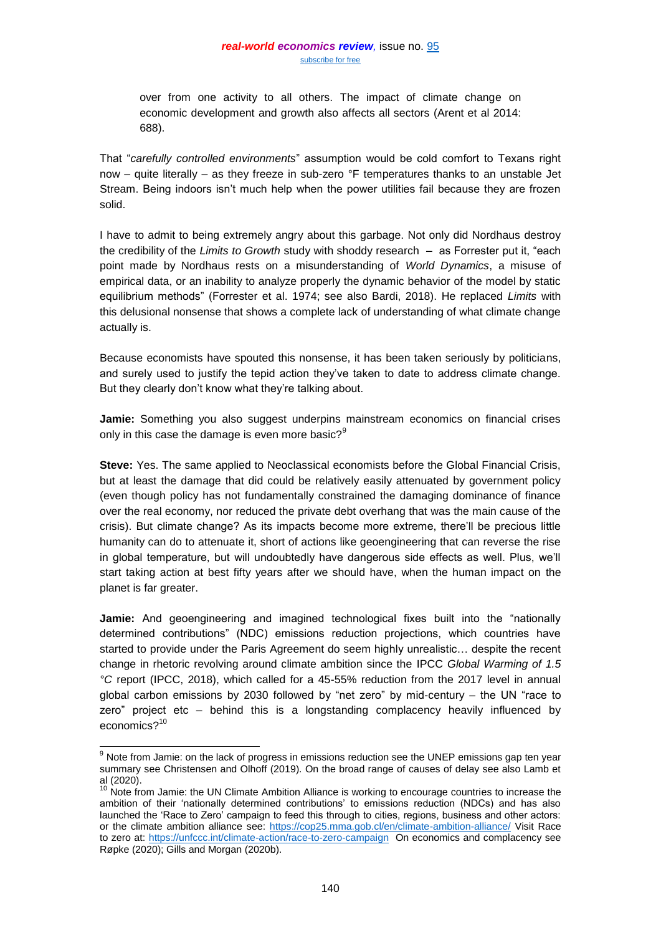over from one activity to all others. The impact of climate change on economic development and growth also affects all sectors (Arent et al 2014: 688).

That "*carefully controlled environments*" assumption would be cold comfort to Texans right now – quite literally – as they freeze in sub-zero °F temperatures thanks to an unstable Jet Stream. Being indoors isn't much help when the power utilities fail because they are frozen solid.

I have to admit to being extremely angry about this garbage. Not only did Nordhaus destroy the credibility of the *Limits to Growth* study with shoddy research – as Forrester put it, "each point made by Nordhaus rests on a misunderstanding of *World Dynamics*, a misuse of empirical data, or an inability to analyze properly the dynamic behavior of the model by static equilibrium methods" (Forrester et al. 1974; see also Bardi, 2018). He replaced *Limits* with this delusional nonsense that shows a complete lack of understanding of what climate change actually is.

Because economists have spouted this nonsense, it has been taken seriously by politicians, and surely used to justify the tepid action they've taken to date to address climate change. But they clearly don't know what they're talking about.

**Jamie:** Something you also suggest underpins mainstream economics on financial crises only in this case the damage is even more basic? $9^9$ 

**Steve:** Yes. The same applied to Neoclassical economists before the Global Financial Crisis, but at least the damage that did could be relatively easily attenuated by government policy (even though policy has not fundamentally constrained the damaging dominance of finance over the real economy, nor reduced the private debt overhang that was the main cause of the crisis). But climate change? As its impacts become more extreme, there'll be precious little humanity can do to attenuate it, short of actions like geoengineering that can reverse the rise in global temperature, but will undoubtedly have dangerous side effects as well. Plus, we'll start taking action at best fifty years after we should have, when the human impact on the planet is far greater.

**Jamie:** And geoengineering and imagined technological fixes built into the "nationally determined contributions" (NDC) emissions reduction projections, which countries have started to provide under the Paris Agreement do seem highly unrealistic… despite the recent change in rhetoric revolving around climate ambition since the IPCC *Global Warming of 1.5 °C* report (IPCC, 2018), which called for a 45-55% reduction from the 2017 level in annual global carbon emissions by 2030 followed by "net zero" by mid-century – the UN "race to zero" project etc – behind this is a longstanding complacency heavily influenced by economics?<sup>10</sup>

 $\overline{\phantom{a}}$ 

 $9$  Note from Jamie: on the lack of progress in emissions reduction see the UNEP emissions gap ten year summary see Christensen and Olhoff (2019). On the broad range of causes of delay see also Lamb et al (2020).

 $10$  Note from Jamie: the UN Climate Ambition Alliance is working to encourage countries to increase the ambition of their 'nationally determined contributions' to emissions reduction (NDCs) and has also launched the 'Race to Zero' campaign to feed this through to cities, regions, business and other actors: or the climate ambition alliance see:<https://cop25.mma.gob.cl/en/climate-ambition-alliance/> Visit Race to zero at:<https://unfccc.int/climate-action/race-to-zero-campaign>On economics and complacency see Røpke (2020); Gills and Morgan (2020b).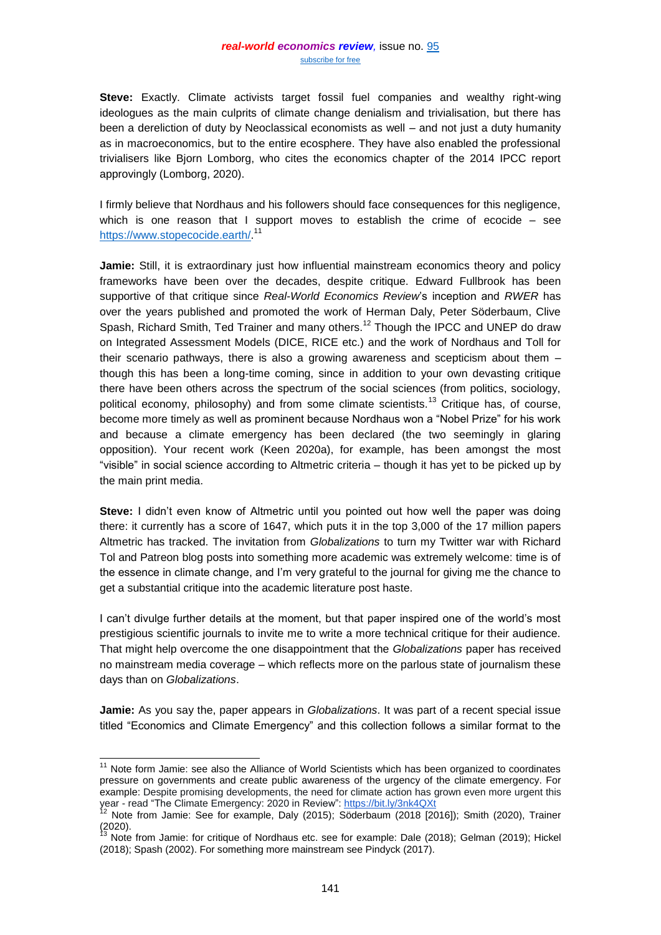**Steve:** Exactly. Climate activists target fossil fuel companies and wealthy right-wing ideologues as the main culprits of climate change denialism and trivialisation, but there has been a dereliction of duty by Neoclassical economists as well – and not just a duty humanity as in macroeconomics, but to the entire ecosphere. They have also enabled the professional trivialisers like Bjorn Lomborg, who cites the economics chapter of the 2014 IPCC report approvingly (Lomborg, 2020).

I firmly believe that Nordhaus and his followers should face consequences for this negligence, which is one reason that I support moves to establish the crime of ecocide – see [https://www.stopecocide.earth/.](https://www.stopecocide.earth/)<sup>11</sup>

**Jamie:** Still, it is extraordinary just how influential mainstream economics theory and policy frameworks have been over the decades, despite critique. Edward Fullbrook has been supportive of that critique since *Real-World Economics Review*'s inception and *RWER* has over the years published and promoted the work of Herman Daly, Peter Söderbaum, Clive Spash, Richard Smith, Ted Trainer and many others.<sup>12</sup> Though the IPCC and UNEP do draw on Integrated Assessment Models (DICE, RICE etc.) and the work of Nordhaus and Toll for their scenario pathways, there is also a growing awareness and scepticism about them – though this has been a long-time coming, since in addition to your own devasting critique there have been others across the spectrum of the social sciences (from politics, sociology, political economy, philosophy) and from some climate scientists.<sup>13</sup> Critique has, of course, become more timely as well as prominent because Nordhaus won a "Nobel Prize" for his work and because a climate emergency has been declared (the two seemingly in glaring opposition). Your recent work (Keen 2020a), for example, has been amongst the most "visible" in social science according to Altmetric criteria – though it has yet to be picked up by the main print media.

**Steve:** I didn't even know of Altmetric until you pointed out how well the paper was doing there: it currently has a score of 1647, which puts it in the top 3,000 of the 17 million papers Altmetric has tracked. The invitation from *Globalizations* to turn my Twitter war with Richard Tol and Patreon blog posts into something more academic was extremely welcome: time is of the essence in climate change, and I'm very grateful to the journal for giving me the chance to get a substantial critique into the academic literature post haste.

I can't divulge further details at the moment, but that paper inspired one of the world's most prestigious scientific journals to invite me to write a more technical critique for their audience. That might help overcome the one disappointment that the *Globalizations* paper has received no mainstream media coverage – which reflects more on the parlous state of journalism these days than on *Globalizations*.

**Jamie:** As you say the, paper appears in *Globalizations*. It was part of a recent special issue titled "Economics and Climate Emergency" and this collection follows a similar format to the

l  $11$  Note form Jamie: see also the Alliance of World Scientists which has been organized to coordinates pressure on governments and create public awareness of the urgency of the climate emergency. For example: Despite promising developments, the need for climate action has grown even more urgent this year - read "The Climate Emergency: 2020 in Review": <u>[https://bit.ly/3nk4QXt](https://eur02.safelinks.protection.outlook.com/?url=https%3A%2F%2Fbit.ly%2F3nk4QXt&data=04%7C01%7Cj.a.morgan%40leedsbeckett.ac.uk%7C4c9d53f05ca840cda38d08d8b4c276e2%7Cd79a81124fbe417aa112cd0fb490d85c%7C0%7C0%7C637458094897025587%7CUnknown%7CTWFpbGZsb3d8eyJWIjoiMC4wLjAwMDAiLCJQIjoiV2luMzIiLCJBTiI6Ik1haWwiLCJXVCI6Mn0%3D%7C1000&sdata=UKqsnotn%2B9Ih8fO0U5YgoDtNPXlde9Y5KHLlAu2NL1E%3D&reserved=0)</u>

<sup>&</sup>lt;sup>12</sup> Note from Jamie: See for example, Daly (2015); Söderbaum (2018 [2016]); Smith (2020), Trainer (2020).

<sup>&</sup>lt;sup>13</sup> Note from Jamie: for critique of Nordhaus etc. see for example: Dale (2018); Gelman (2019); Hickel (2018); Spash (2002). For something more mainstream see Pindyck (2017).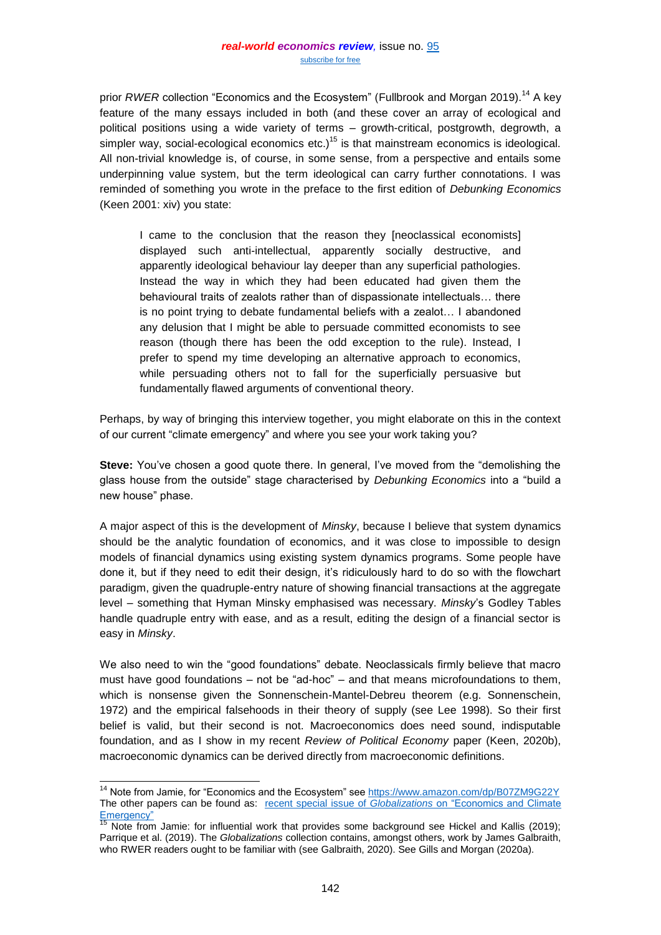prior *RWER* collection "Economics and the Ecosystem" (Fullbrook and Morgan 2019).<sup>14</sup> A key feature of the many essays included in both (and these cover an array of ecological and political positions using a wide variety of terms – growth-critical, postgrowth, degrowth, a simpler way, social-ecological economics  $etc.$ )<sup>15</sup> is that mainstream economics is ideological. All non-trivial knowledge is, of course, in some sense, from a perspective and entails some underpinning value system, but the term ideological can carry further connotations. I was reminded of something you wrote in the preface to the first edition of *Debunking Economics*  (Keen 2001: xiv) you state:

I came to the conclusion that the reason they [neoclassical economists] displayed such anti-intellectual, apparently socially destructive, and apparently ideological behaviour lay deeper than any superficial pathologies. Instead the way in which they had been educated had given them the behavioural traits of zealots rather than of dispassionate intellectuals… there is no point trying to debate fundamental beliefs with a zealot… I abandoned any delusion that I might be able to persuade committed economists to see reason (though there has been the odd exception to the rule). Instead, I prefer to spend my time developing an alternative approach to economics, while persuading others not to fall for the superficially persuasive but fundamentally flawed arguments of conventional theory.

Perhaps, by way of bringing this interview together, you might elaborate on this in the context of our current "climate emergency" and where you see your work taking you?

**Steve:** You've chosen a good quote there. In general, I've moved from the "demolishing the glass house from the outside" stage characterised by *Debunking Economics* into a "build a new house" phase.

A major aspect of this is the development of *Minsky*, because I believe that system dynamics should be the analytic foundation of economics, and it was close to impossible to design models of financial dynamics using existing system dynamics programs. Some people have done it, but if they need to edit their design, it's ridiculously hard to do so with the flowchart paradigm, given the quadruple-entry nature of showing financial transactions at the aggregate level – something that Hyman Minsky emphasised was necessary. *Minsky*'s Godley Tables handle quadruple entry with ease, and as a result, editing the design of a financial sector is easy in *Minsky*.

We also need to win the "good foundations" debate. Neoclassicals firmly believe that macro must have good foundations – not be "ad-hoc" – and that means microfoundations to them, which is nonsense given the Sonnenschein-Mantel-Debreu theorem (e.g. Sonnenschein, 1972) and the empirical falsehoods in their theory of supply (see Lee 1998). So their first belief is valid, but their second is not. Macroeconomics does need sound, indisputable foundation, and as I show in my recent *Review of Political Economy* paper (Keen, 2020b), macroeconomic dynamics can be derived directly from macroeconomic definitions.

l <sup>14</sup> Note from Jamie, for "Economics and the Ecosystem" se[e https://www.amazon.com/dp/B07ZM9G22Y](https://www.amazon.com/dp/B07ZM9G22Y) The other papers can be found as: recent special issue of *Globalizations* [on "Economics and Climate](https://www.tandfonline.com/action/doSearch?AllField=Economics+and+Climate+Emergency&SeriesKey=rglo20)  [Emergency"](https://www.tandfonline.com/action/doSearch?AllField=Economics+and+Climate+Emergency&SeriesKey=rglo20)

Note from Jamie: for influential work that provides some background see Hickel and Kallis (2019); Parrique et al. (2019). The *Globalizations* collection contains, amongst others, work by James Galbraith, who RWER readers ought to be familiar with (see Galbraith, 2020). See Gills and Morgan (2020a).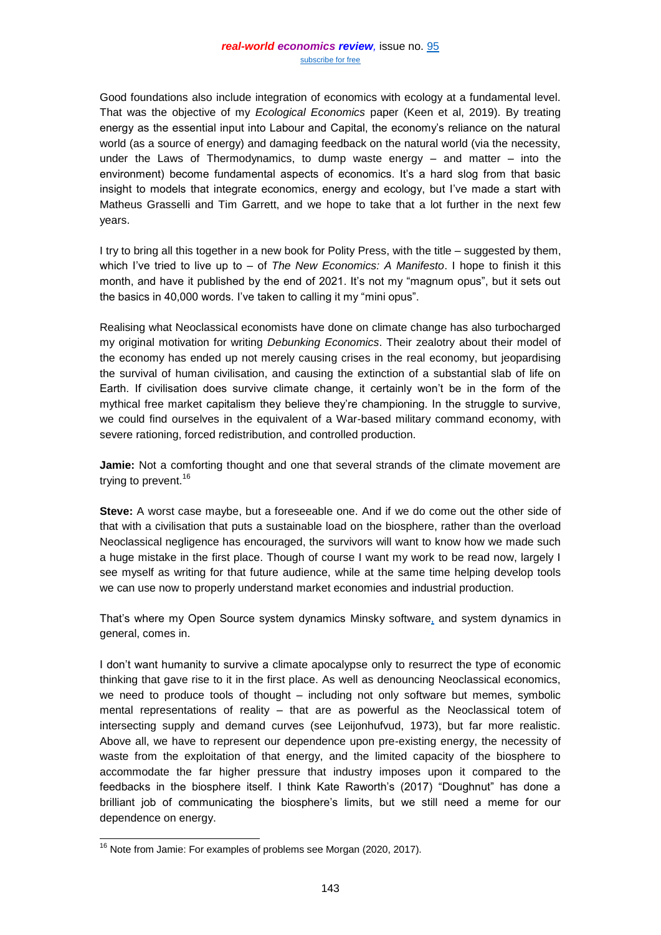Good foundations also include integration of economics with ecology at a fundamental level. That was the objective of my *Ecological Economics* paper (Keen et al, 2019). By treating energy as the essential input into Labour and Capital, the economy's reliance on the natural world (as a source of energy) and damaging feedback on the natural world (via the necessity, under the Laws of Thermodynamics, to dump waste energy – and matter – into the environment) become fundamental aspects of economics. It's a hard slog from that basic insight to models that integrate economics, energy and ecology, but I've made a start with Matheus Grasselli and Tim Garrett, and we hope to take that a lot further in the next few years.

I try to bring all this together in a new book for Polity Press, with the title – suggested by them, which I've tried to live up to – of *The New Economics: A Manifesto*. I hope to finish it this month, and have it published by the end of 2021. It's not my "magnum opus", but it sets out the basics in 40,000 words. I've taken to calling it my "mini opus".

Realising what Neoclassical economists have done on climate change has also turbocharged my original motivation for writing *Debunking Economics*. Their zealotry about their model of the economy has ended up not merely causing crises in the real economy, but jeopardising the survival of human civilisation, and causing the extinction of a substantial slab of life on Earth. If civilisation does survive climate change, it certainly won't be in the form of the mythical free market capitalism they believe they're championing. In the struggle to survive, we could find ourselves in the equivalent of a War-based military command economy, with severe rationing, forced redistribution, and controlled production.

**Jamie:** Not a comforting thought and one that several strands of the climate movement are trying to prevent.<sup>16</sup>

**Steve:** A worst case maybe, but a foreseeable one. And if we do come out the other side of that with a civilisation that puts a sustainable load on the biosphere, rather than the overload Neoclassical negligence has encouraged, the survivors will want to know how we made such a huge mistake in the first place. Though of course I want my work to be read now, largely I see myself as writing for that future audience, while at the same time helping develop tools we can use now to properly understand market economies and industrial production.

That's where my Open Source system dynamics Minsky software, and system dynamics in general, comes in.

I don't want humanity to survive a climate apocalypse only to resurrect the type of economic thinking that gave rise to it in the first place. As well as denouncing Neoclassical economics, we need to produce tools of thought – including not only software but memes, symbolic mental representations of reality – that are as powerful as the Neoclassical totem of intersecting supply and demand curves (see Leijonhufvud, 1973), but far more realistic. Above all, we have to represent our dependence upon pre-existing energy, the necessity of waste from the exploitation of that energy, and the limited capacity of the biosphere to accommodate the far higher pressure that industry imposes upon it compared to the feedbacks in the biosphere itself. I think Kate Raworth's (2017) "Doughnut" has done a brilliant job of communicating the biosphere's limits, but we still need a meme for our dependence on energy.

l  $16$  Note from Jamie: For examples of problems see Morgan (2020, 2017).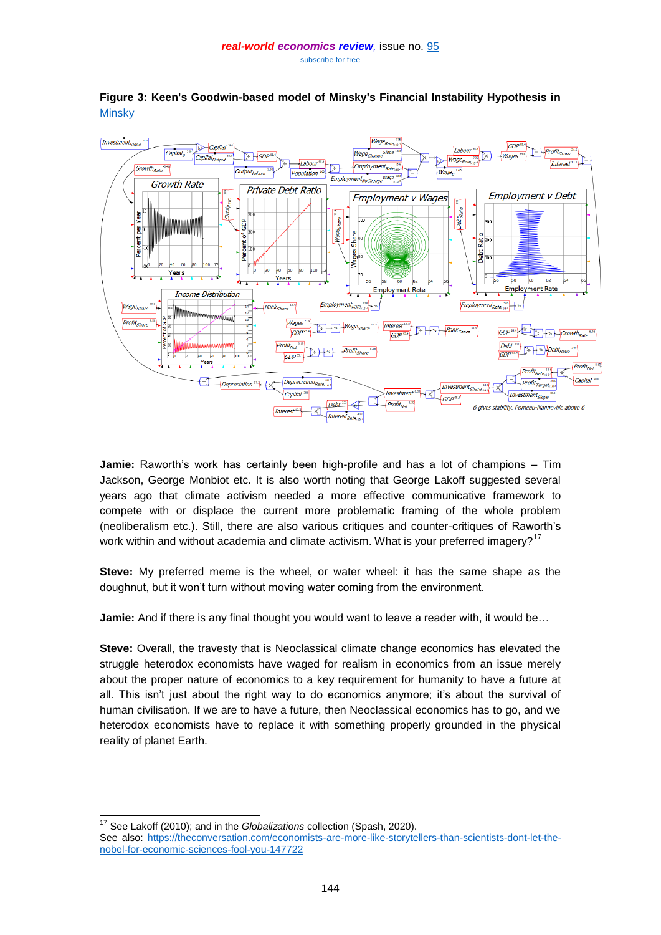

**Figure 3: Keen's Goodwin-based model of Minsky's Financial Instability Hypothesis in [Minsky](https://sourceforge.net/projects/minsky/)** 

**Jamie:** Raworth's work has certainly been high-profile and has a lot of champions – Tim Jackson, George Monbiot etc. It is also worth noting that George Lakoff suggested several years ago that climate activism needed a more effective communicative framework to compete with or displace the current more problematic framing of the whole problem (neoliberalism etc.). Still, there are also various critiques and counter-critiques of Raworth's work within and without academia and climate activism. What is your preferred imagery?<sup>17</sup>

**Steve:** My preferred meme is the wheel, or water wheel: it has the same shape as the doughnut, but it won't turn without moving water coming from the environment.

**Jamie:** And if there is any final thought you would want to leave a reader with, it would be...

**Steve:** Overall, the travesty that is Neoclassical climate change economics has elevated the struggle heterodox economists have waged for realism in economics from an issue merely about the proper nature of economics to a key requirement for humanity to have a future at all. This isn't just about the right way to do economics anymore; it's about the survival of human civilisation. If we are to have a future, then Neoclassical economics has to go, and we heterodox economists have to replace it with something properly grounded in the physical reality of planet Earth.

 $\overline{\phantom{a}}$ <sup>17</sup> See Lakoff (2010); and in the *Globalizations* collection (Spash, 2020).

See also: [https://theconversation.com/economists-are-more-like-storytellers-than-scientists-dont-let-the](https://eur02.safelinks.protection.outlook.com/?url=https%3A%2F%2Ftheconversation.com%2Feconomists-are-more-like-storytellers-than-scientists-dont-let-the-nobel-for-economic-sciences-fool-you-147722&data=04%7C01%7Cj.a.morgan%40leedsbeckett.ac.uk%7C44eacd1bf2e74305c52b08d870266ce4%7Cd79a81124fbe417aa112cd0fb490d85c%7C0%7C1%7C637382657621093917%7CUnknown%7CTWFpbGZsb3d8eyJWIjoiMC4wLjAwMDAiLCJQIjoiV2luMzIiLCJBTiI6Ik1haWwiLCJXVCI6Mn0%3D%7C1000&sdata=Ah69C6jowPh4xocWu9oygra9LTqeuiJX4EiXxNdrvN8%3D&reserved=0)[nobel-for-economic-sciences-fool-you-147722](https://eur02.safelinks.protection.outlook.com/?url=https%3A%2F%2Ftheconversation.com%2Feconomists-are-more-like-storytellers-than-scientists-dont-let-the-nobel-for-economic-sciences-fool-you-147722&data=04%7C01%7Cj.a.morgan%40leedsbeckett.ac.uk%7C44eacd1bf2e74305c52b08d870266ce4%7Cd79a81124fbe417aa112cd0fb490d85c%7C0%7C1%7C637382657621093917%7CUnknown%7CTWFpbGZsb3d8eyJWIjoiMC4wLjAwMDAiLCJQIjoiV2luMzIiLCJBTiI6Ik1haWwiLCJXVCI6Mn0%3D%7C1000&sdata=Ah69C6jowPh4xocWu9oygra9LTqeuiJX4EiXxNdrvN8%3D&reserved=0)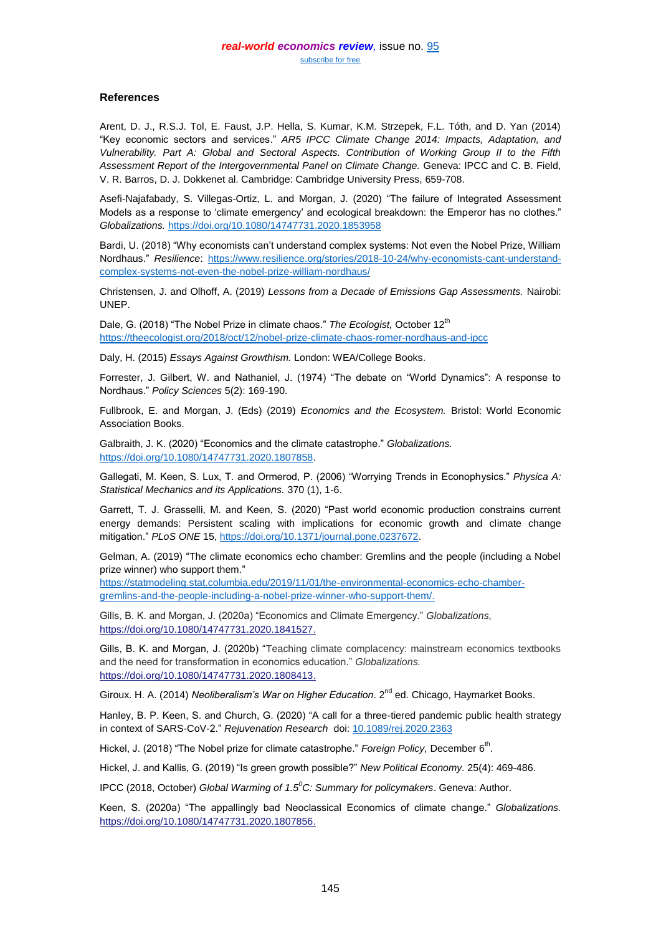### **References**

Arent, D. J., R.S.J. Tol, E. Faust, J.P. Hella, S. Kumar, K.M. Strzepek, F.L. Tóth, and D. Yan (2014) "Key economic sectors and services." *AR5 IPCC Climate Change 2014: Impacts, Adaptation, and Vulnerability. Part A: Global and Sectoral Aspects. Contribution of Working Group II to the Fifth Assessment Report of the Intergovernmental Panel on Climate Change.* Geneva: IPCC and C. B. Field, V. R. Barros, D. J. Dokkenet al. Cambridge: Cambridge University Press, 659-708.

Asefi-Najafabady, S. Villegas-Ortiz, L. and Morgan, J. (2020) "The failure of Integrated Assessment Models as a response to 'climate emergency' and ecological breakdown: the Emperor has no clothes." *Globalizations.* <https://doi.org/10.1080/14747731.2020.1853958>

Bardi, U. (2018) "Why economists can't understand complex systems: Not even the Nobel Prize, William Nordhaus." *Resilience*: [https://www.resilience.org/stories/2018-10-24/why-economists-cant-understand](https://www.resilience.org/stories/2018-10-24/why-economists-cant-understand-complex-systems-not-even-the-nobel-prize-william-nordhaus/)[complex-systems-not-even-the-nobel-prize-william-nordhaus/](https://www.resilience.org/stories/2018-10-24/why-economists-cant-understand-complex-systems-not-even-the-nobel-prize-william-nordhaus/) 

Christensen, J. and Olhoff, A. (2019) *Lessons from a Decade of Emissions Gap Assessments.* Nairobi: UNEP.

Dale, G. (2018) "The Nobel Prize in climate chaos." The Ecologist, October 12<sup>th</sup> <https://theecologist.org/2018/oct/12/nobel-prize-climate-chaos-romer-nordhaus-and-ipcc>

Daly, H. (2015) *Essays Against Growthism.* London: WEA/College Books.

Forrester, J. Gilbert, W. and Nathaniel, J. (1974) "The debate on "World Dynamics": A response to Nordhaus." *Policy Sciences* 5(2): 169-190.

Fullbrook, E. and Morgan, J. (Eds) (2019) *Economics and the Ecosystem.* Bristol: World Economic Association Books.

Galbraith, J. K. (2020) "Economics and the climate catastrophe." *Globalizations.* [https://doi.org/10.1080/14747731.2020.1807858.](https://doi.org/10.1080/14747731.2020.1807858)

Gallegati, M. Keen, S. Lux, T. and Ormerod, P. (2006) "Worrying Trends in Econophysics." *Physica A: Statistical Mechanics and its Applications.* 370 (1), 1-6.

Garrett, T. J. Grasselli, M. and Keen, S. (2020) "Past world economic production constrains current energy demands: Persistent scaling with implications for economic growth and climate change mitigation." *PLoS ONE* 15, [https://doi.org/10.1371/journal.pone.0237672.](https://doi.org/10.1371/journal.pone.0237672)

Gelman, A. (2019) "The climate economics echo chamber: Gremlins and the people (including a Nobel prize winner) who support them."

[https://statmodeling.stat.columbia.edu/2019/11/01/the-environmental-economics-echo-chamber](https://statmodeling.stat.columbia.edu/2019/11/01/the-environmental-economics-echo-chamber-gremlins-and-the-people-including-a-nobel-prize-winner-who-support-them/)[gremlins-and-the-people-including-a-nobel-prize-winner-who-support-them/.](https://statmodeling.stat.columbia.edu/2019/11/01/the-environmental-economics-echo-chamber-gremlins-and-the-people-including-a-nobel-prize-winner-who-support-them/)

Gills, B. K. and Morgan, J. (2020a) "Economics and Climate Emergency." *Globalizations,*  [https://doi.org/10.1080/14747731.2020.1841527.](https://doi.org/10.1080/14747731.2020.1841527)

Gills, B. K. and Morgan, J. (2020b) "Teaching climate complacency: mainstream economics textbooks and the need for transformation in economics education." *Globalizations.* [https://doi.org/10.1080/14747731.2020.1808413.](https://doi.org/10.1080/14747731.2020.1808413)

Giroux. H. A. (2014) *Neoliberalism's War on Higher Education*. 2<sup>nd</sup> ed. Chicago, Haymarket Books.

Hanley, B. P. Keen, S. and Church, G. (2020) "A call for a three-tiered pandemic public health strategy in context of SARS-CoV-2." *Rejuvenation Research* doi: [10.1089/rej.2020.2363](https://dx.doi.org/10.1089%2Frej.2020.2363)

Hickel, J. (2018) "The Nobel prize for climate catastrophe." *Foreign Policy,* December 6<sup>th</sup>.

Hickel, J. and Kallis, G. (2019) "Is green growth possible?" *New Political Economy.* 25(4): 469-486.

IPCC (2018, October) *Global Warming of 1.5<sup>0</sup>C: Summary for policymakers*. Geneva: Author.

Keen, S. (2020a) "The appallingly bad Neoclassical Economics of climate change." *Globalizations.* [https://doi.org/10.1080/14747731.2020.1807856.](https://doi.org/10.1080/14747731.2020.1807856)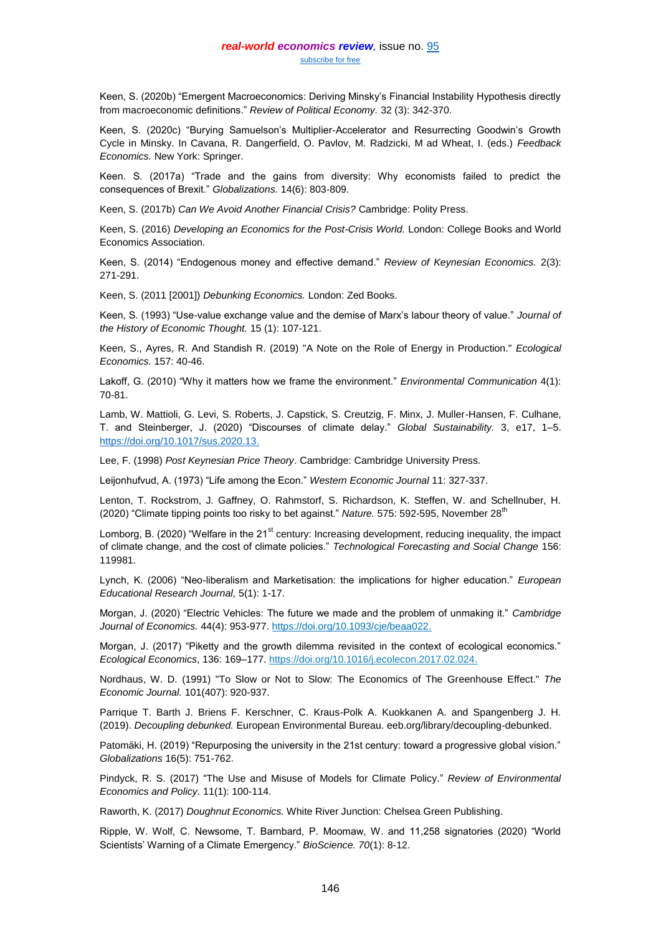Keen, S. (2020b) "Emergent Macroeconomics: Deriving Minsky's Financial Instability Hypothesis directly from macroeconomic definitions." *Review of Political Economy.* 32 (3): 342-370.

Keen, S. (2020c) "Burying Samuelson's Multiplier-Accelerator and Resurrecting Goodwin's Growth Cycle in Minsky. In Cavana, R. Dangerfield, O. Pavlov, M. Radzicki, M ad Wheat, I. (eds.) *Feedback Economics.* New York: Springer.

Keen. S. (2017a) "Trade and the gains from diversity: Why economists failed to predict the consequences of Brexit." *Globalizations.* 14(6): 803-809.

Keen, S. (2017b) *Can We Avoid Another Financial Crisis?* Cambridge: Polity Press.

Keen, S. (2016) *Developing an Economics for the Post-Crisis World.* London: College Books and World Economics Association.

Keen, S. (2014) "Endogenous money and effective demand." *Review of Keynesian Economics.* 2(3): 271-291.

Keen, S. (2011 [2001]) *Debunking Economics.* London: Zed Books.

Keen, S. (1993) "Use-value exchange value and the demise of Marx's labour theory of value." *Journal of the History of Economic Thought.* 15 (1): 107-121.

Keen, S., Ayres, R. And Standish R. (2019) "A Note on the Role of Energy in Production." *Ecological Economics.* 157: 40-46.

Lakoff, G. (2010) "Why it matters how we frame the environment." *Environmental Communication* 4(1): 70-81.

Lamb, W. Mattioli, G. Levi, S. Roberts, J. Capstick, S. Creutzig, F. Minx, J. Muller-Hansen, F. Culhane, T. and Steinberger, J. (2020) "Discourses of climate delay." *Global Sustainability.* 3, e17, 1–5. [https://doi.org/10.1017/sus.2020.13.](https://doi.org/10.1017/sus.2020.13)

Lee, F. (1998) *Post Keynesian Price Theory*. Cambridge: Cambridge University Press.

Leijonhufvud, A. (1973) "Life among the Econ." *Western Economic Journal* 11: 327-337.

Lenton, T. Rockstrom, J. Gaffney, O. Rahmstorf, S. Richardson, K. Steffen, W. and Schellnuber, H. (2020) "Climate tipping points too risky to bet against." *Nature.* 575: 592-595, November 28<sup>th</sup>

Lomborg, B. (2020) "Welfare in the  $21<sup>st</sup>$  century: Increasing development, reducing inequality, the impact of climate change, and the cost of climate policies." *Technological Forecasting and Social Change* 156: 119981.

Lynch, K. (2006) "Neo-liberalism and Marketisation: the implications for higher education." *European Educational Research Journal,* 5(1): 1-17.

Morgan, J. (2020) "Electric Vehicles: The future we made and the problem of unmaking it." *Cambridge Journal of Economics.* 44(4): 953-977. [https://doi.org/10.1093/cje/beaa022.](https://doi.org/10.1093/cje/beaa022)

Morgan, J. (2017) "Piketty and the growth dilemma revisited in the context of ecological economics." *Ecological Economics*, 136: 169–177[. https://doi.org/10.1016/j.ecolecon.2017.02.024.](https://doi.org/10.1016/j.ecolecon.2017.02.024)

Nordhaus, W. D. (1991) "To Slow or Not to Slow: The Economics of The Greenhouse Effect." *The Economic Journal.* 101(407): 920-937.

Parrique T. Barth J. Briens F. Kerschner, C. Kraus-Polk A. Kuokkanen A. and Spangenberg J. H. (2019). *Decoupling debunked.* European Environmental Bureau. eeb.org/library/decoupling-debunked.

Patomäki, H. (2019) "Repurposing the university in the 21st century: toward a progressive global vision." *Globalizations* 16(5): 751-762.

Pindyck, R. S. (2017) "The Use and Misuse of Models for Climate Policy." *Review of Environmental Economics and Policy.* 11(1): 100-114.

Raworth, K. (2017) *Doughnut Economics.* White River Junction: Chelsea Green Publishing.

Ripple, W. Wolf, C. Newsome, T. Barnbard, P. Moomaw, W. and 11,258 signatories (2020) "World Scientists' Warning of a Climate Emergency." *BioScience. 70*(1): 8-12.